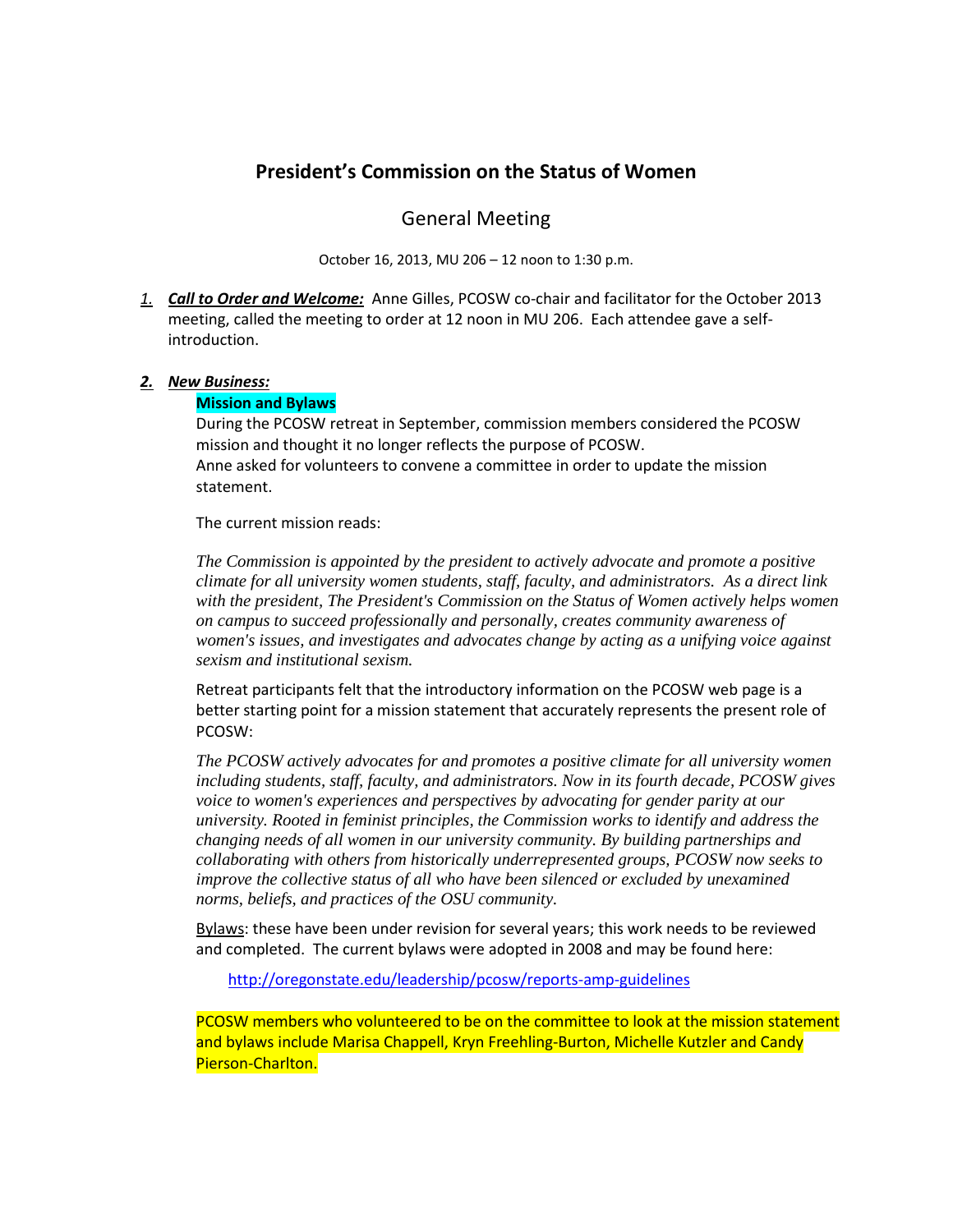# **President's Commission on the Status of Women**

## General Meeting

October 16, 2013, MU 206 – 12 noon to 1:30 p.m.

*1. Call to Order and Welcome:* Anne Gilles, PCOSW co-chair and facilitator for the October 2013 meeting, called the meeting to order at 12 noon in MU 206. Each attendee gave a selfintroduction.

### *2. New Business:*

#### **Mission and Bylaws**

During the PCOSW retreat in September, commission members considered the PCOSW mission and thought it no longer reflects the purpose of PCOSW. Anne asked for volunteers to convene a committee in order to update the mission statement.

The current mission reads:

*The Commission is appointed by the president to actively advocate and promote a positive climate for all university women students, staff, faculty, and administrators. As a direct link with the president, The President's Commission on the Status of Women actively helps women on campus to succeed professionally and personally, creates community awareness of women's issues, and investigates and advocates change by acting as a unifying voice against sexism and institutional sexism.*

Retreat participants felt that the introductory information on the PCOSW web page is a better starting point for a mission statement that accurately represents the present role of PCOSW:

*The PCOSW actively advocates for and promotes a positive climate for all university women including students, staff, faculty, and administrators. Now in its fourth decade, PCOSW gives voice to women's experiences and perspectives by advocating for gender parity at our university. Rooted in feminist principles, the Commission works to identify and address the changing needs of all women in our university community. By building partnerships and collaborating with others from historically underrepresented groups, PCOSW now seeks to improve the collective status of all who have been silenced or excluded by unexamined norms, beliefs, and practices of the OSU community.*

Bylaws: these have been under revision for several years; this work needs to be reviewed and completed. The current bylaws were adopted in 2008 and may be found here:

<http://oregonstate.edu/leadership/pcosw/reports-amp-guidelines>

PCOSW members who volunteered to be on the committee to look at the mission statement and bylaws include Marisa Chappell, Kryn Freehling-Burton, Michelle Kutzler and Candy Pierson-Charlton.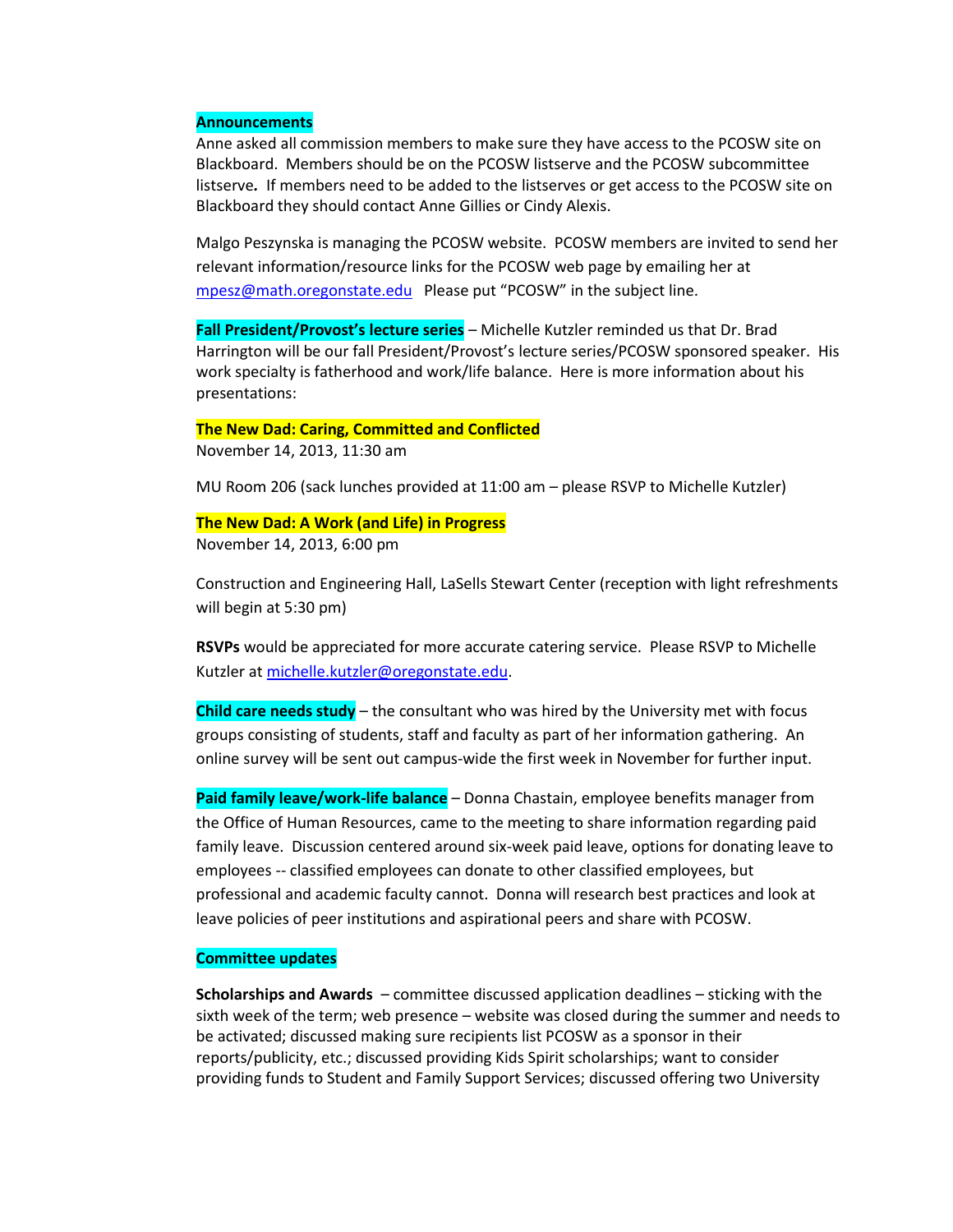#### **Announcements**

Anne asked all commission members to make sure they have access to the PCOSW site on Blackboard. Members should be on the PCOSW listserve and the PCOSW subcommittee listserve*.* If members need to be added to the listserves or get access to the PCOSW site on Blackboard they should contact Anne Gillies or Cindy Alexis.

Malgo Peszynska is managing the PCOSW website. PCOSW members are invited to send her relevant information/resource links for the PCOSW web page by emailing her at [mpesz@math.oregonstate.edu](mailto:mpesz@math.oregonstate.edu) Please put "PCOSW" in the subject line.

**Fall President/Provost's lecture series** – Michelle Kutzler reminded us that Dr. Brad Harrington will be our fall President/Provost's lecture series/PCOSW sponsored speaker. His work specialty is fatherhood and work/life balance. Here is more information about his presentations:

#### **The New Dad: Caring, Committed and Conflicted**

November 14, 2013, 11:30 am

MU Room 206 (sack lunches provided at 11:00 am – please RSVP to Michelle Kutzler)

#### **The New Dad: A Work (and Life) in Progress**

November 14, 2013, 6:00 pm

Construction and Engineering Hall, LaSells Stewart Center (reception with light refreshments will begin at 5:30 pm)

**RSVPs** would be appreciated for more accurate catering service. Please RSVP to Michelle Kutzler at [michelle.kutzler@oregonstate.edu.](mailto:michelle.kutzler@oregonstate.edu)

**Child care needs study** – the consultant who was hired by the University met with focus groups consisting of students, staff and faculty as part of her information gathering. An online survey will be sent out campus-wide the first week in November for further input.

**Paid family leave/work-life balance** – Donna Chastain, employee benefits manager from the Office of Human Resources, came to the meeting to share information regarding paid family leave. Discussion centered around six-week paid leave, options for donating leave to employees -- classified employees can donate to other classified employees, but professional and academic faculty cannot. Donna will research best practices and look at leave policies of peer institutions and aspirational peers and share with PCOSW.

### **Committee updates**

**Scholarships and Awards** – committee discussed application deadlines – sticking with the sixth week of the term; web presence – website was closed during the summer and needs to be activated; discussed making sure recipients list PCOSW as a sponsor in their reports/publicity, etc.; discussed providing Kids Spirit scholarships; want to consider providing funds to Student and Family Support Services; discussed offering two University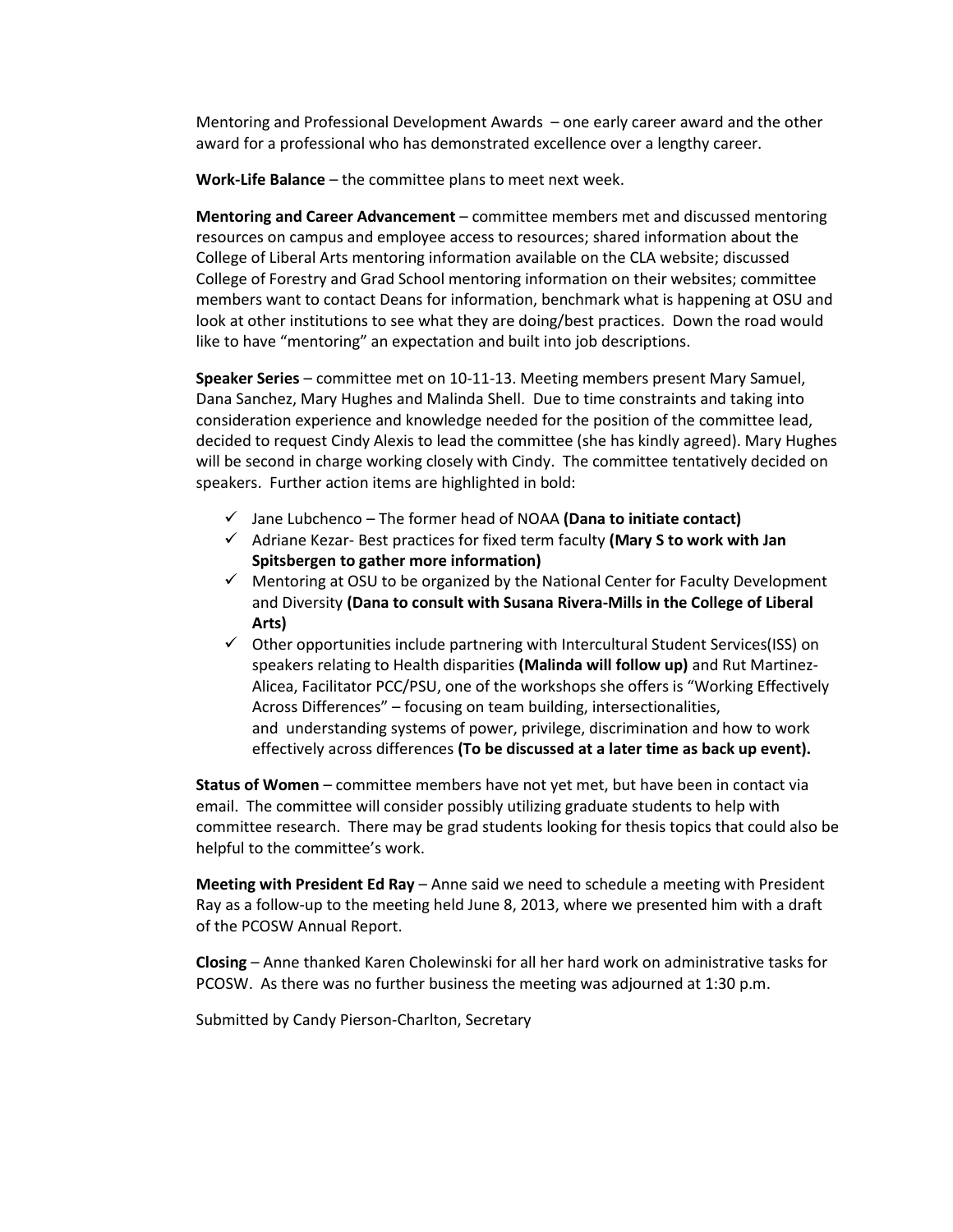Mentoring and Professional Development Awards – one early career award and the other award for a professional who has demonstrated excellence over a lengthy career.

**Work-Life Balance** – the committee plans to meet next week.

**Mentoring and Career Advancement** – committee members met and discussed mentoring resources on campus and employee access to resources; shared information about the College of Liberal Arts mentoring information available on the CLA website; discussed College of Forestry and Grad School mentoring information on their websites; committee members want to contact Deans for information, benchmark what is happening at OSU and look at other institutions to see what they are doing/best practices. Down the road would like to have "mentoring" an expectation and built into job descriptions.

**Speaker Series** – committee met on 10-11-13. Meeting members present Mary Samuel, Dana Sanchez, Mary Hughes and Malinda Shell. Due to time constraints and taking into consideration experience and knowledge needed for the position of the committee lead, decided to request Cindy Alexis to lead the committee (she has kindly agreed). Mary Hughes will be second in charge working closely with Cindy. The committee tentatively decided on speakers. Further action items are highlighted in bold:

- Jane Lubchenco The former head of NOAA **(Dana to initiate contact)**
- Adriane Kezar- Best practices for fixed term faculty **(Mary S to work with Jan Spitsbergen to gather more information)**
- $\checkmark$  Mentoring at OSU to be organized by the National Center for Faculty Development and Diversity **(Dana to consult with Susana Rivera-Mills in the College of Liberal Arts)**
- $\checkmark$  Other opportunities include partnering with Intercultural Student Services(ISS) on speakers relating to Health disparities **(Malinda will follow up)** and Rut Martinez-Alicea, Facilitator PCC/PSU, one of the workshops she offers is "Working Effectively Across Differences" – focusing on team building, intersectionalities, and understanding systems of power, privilege, discrimination and how to work effectively across differences **(To be discussed at a later time as back up event).**

**Status of Women** – committee members have not yet met, but have been in contact via email. The committee will consider possibly utilizing graduate students to help with committee research. There may be grad students looking for thesis topics that could also be helpful to the committee's work.

**Meeting with President Ed Ray** – Anne said we need to schedule a meeting with President Ray as a follow-up to the meeting held June 8, 2013, where we presented him with a draft of the PCOSW Annual Report.

**Closing** – Anne thanked Karen Cholewinski for all her hard work on administrative tasks for PCOSW. As there was no further business the meeting was adjourned at 1:30 p.m.

Submitted by Candy Pierson-Charlton, Secretary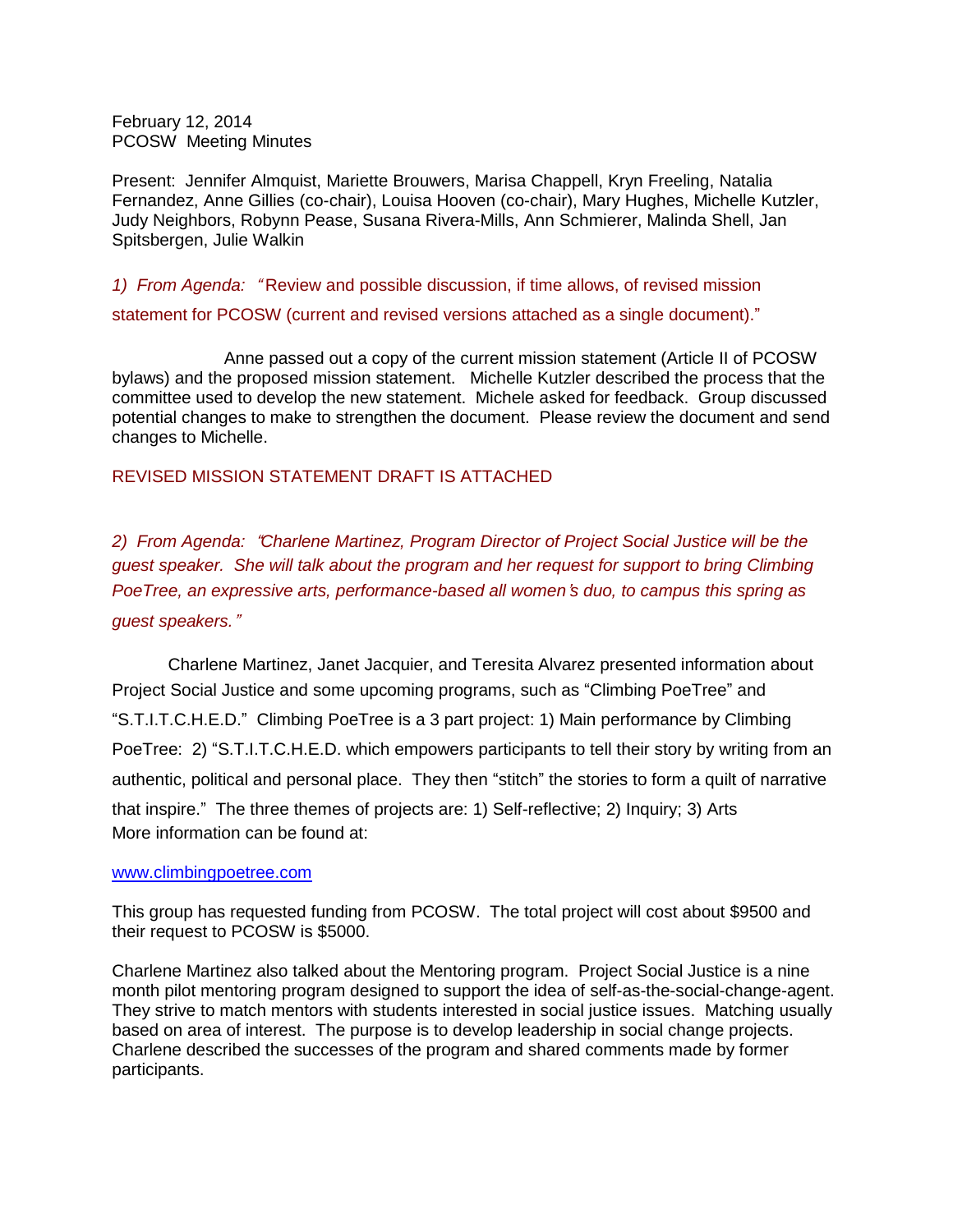February 12, 2014 PCOSW Meeting Minutes

Present: Jennifer Almquist, Mariette Brouwers, Marisa Chappell, Kryn Freeling, Natalia Fernandez, Anne Gillies (co-chair), Louisa Hooven (co-chair), Mary Hughes, Michelle Kutzler, Judy Neighbors, Robynn Pease, Susana Rivera-Mills, Ann Schmierer, Malinda Shell, Jan Spitsbergen, Julie Walkin

*1) From Agenda:* " Review and possible discussion, if time allows, of revised mission statement for PCOSW (current and revised versions attached as a single document)."

Anne passed out a copy of the current mission statement (Article II of PCOSW bylaws) and the proposed mission statement. Michelle Kutzler described the process that the committee used to develop the new statement. Michele asked for feedback. Group discussed potential changes to make to strengthen the document. Please review the document and send changes to Michelle.

### REVISED MISSION STATEMENT DRAFT IS ATTACHED

*2) From Agenda:* "*Charlene Martinez, Program Director of Project Social Justice will be the guest speaker. She will talk about the program and her request for support to bring Climbing PoeTree, an expressive arts, performance-based all women*'*s duo, to campus this spring as guest speakers.*"

Charlene Martinez, Janet Jacquier, and Teresita Alvarez presented information about Project Social Justice and some upcoming programs, such as "Climbing PoeTree" and "S.T.I.T.C.H.E.D." Climbing PoeTree is a 3 part project: 1) Main performance by Climbing PoeTree: 2) "S.T.I.T.C.H.E.D. which empowers participants to tell their story by writing from an authentic, political and personal place. They then "stitch" the stories to form a quilt of narrative that inspire." The three themes of projects are: 1) Self-reflective; 2) Inquiry; 3) Arts More information can be found at:

#### [www.climbingpoetree.com](http://www.climbingpoetree.com/)

This group has requested funding from PCOSW. The total project will cost about \$9500 and their request to PCOSW is \$5000.

Charlene Martinez also talked about the Mentoring program. Project Social Justice is a nine month pilot mentoring program designed to support the idea of self-as-the-social-change-agent. They strive to match mentors with students interested in social justice issues. Matching usually based on area of interest. The purpose is to develop leadership in social change projects. Charlene described the successes of the program and shared comments made by former participants.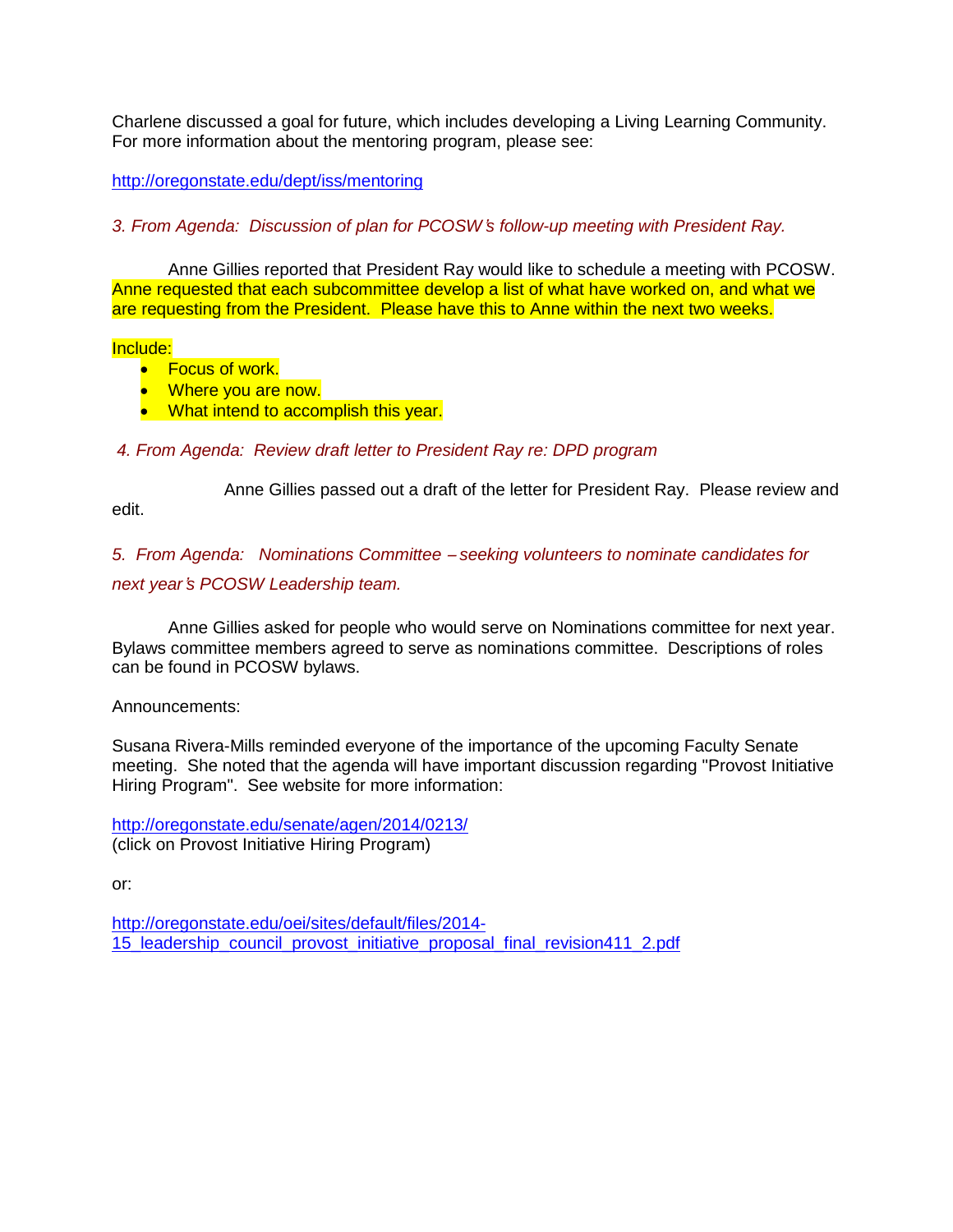Charlene discussed a goal for future, which includes developing a Living Learning Community. For more information about the mentoring program, please see:

<http://oregonstate.edu/dept/iss/mentoring>

*3. From Agenda: Discussion of plan for PCOSW*'*s follow-up meeting with President Ray.*

Anne Gillies reported that President Ray would like to schedule a meeting with PCOSW. Anne requested that each subcommittee develop a list of what have worked on, and what we are requesting from the President. Please have this to Anne within the next two weeks.

#### Include:

- **•** Focus of work.
- Where you are now.
- What intend to accomplish this year.

### *4. From Agenda: Review draft letter to President Ray re: DPD program*

Anne Gillies passed out a draft of the letter for President Ray. Please review and

edit.

*5. From Agenda: Nominations Committee* – *seeking volunteers to nominate candidates for next year*'*s PCOSW Leadership team.*

Anne Gillies asked for people who would serve on Nominations committee for next year. Bylaws committee members agreed to serve as nominations committee. Descriptions of roles can be found in PCOSW bylaws.

### Announcements:

Susana Rivera-Mills reminded everyone of the importance of the upcoming Faculty Senate meeting. She noted that the agenda will have important discussion regarding "Provost Initiative Hiring Program". See website for more information:

<http://oregonstate.edu/senate/agen/2014/0213/> (click on Provost Initiative Hiring Program)

or:

[http://oregonstate.edu/oei/sites/default/files/2014-](http://oregonstate.edu/oei/sites/default/files/2014-15_leadership_council_provost_initiative_proposal_final_revision411_2.pdf) 15 leadership council provost initiative proposal final revision411 2.pdf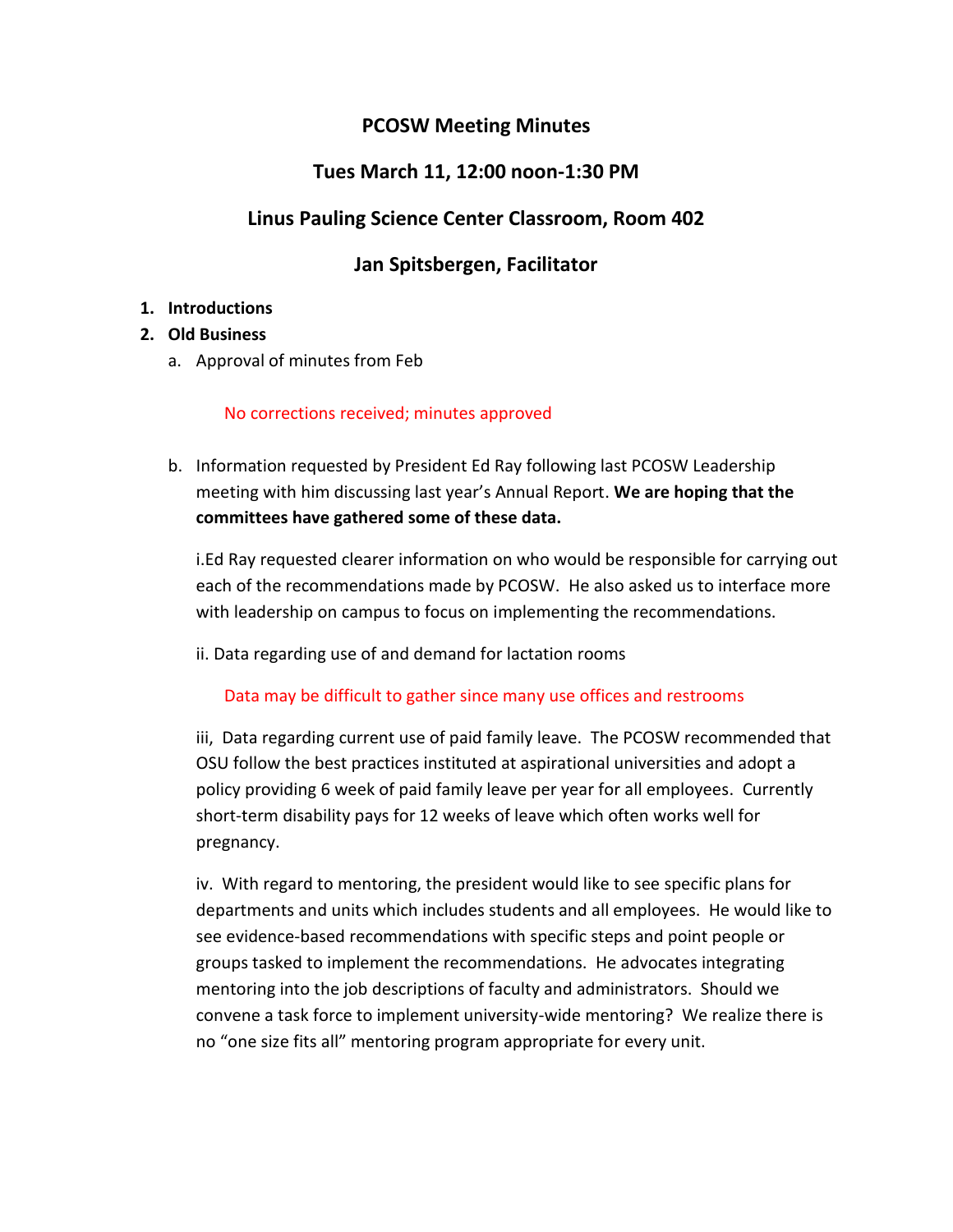# **PCOSW Meeting Minutes**

# **Tues March 11, 12:00 noon-1:30 PM**

# **Linus Pauling Science Center Classroom, Room 402**

# **Jan Spitsbergen, Facilitator**

## **1. Introductions**

## **2. Old Business**

a. Approval of minutes from Feb

### No corrections received; minutes approved

b. Information requested by President Ed Ray following last PCOSW Leadership meeting with him discussing last year's Annual Report. **We are hoping that the committees have gathered some of these data.**

i.Ed Ray requested clearer information on who would be responsible for carrying out each of the recommendations made by PCOSW. He also asked us to interface more with leadership on campus to focus on implementing the recommendations.

ii. Data regarding use of and demand for lactation rooms

Data may be difficult to gather since many use offices and restrooms

iii, Data regarding current use of paid family leave. The PCOSW recommended that OSU follow the best practices instituted at aspirational universities and adopt a policy providing 6 week of paid family leave per year for all employees. Currently short-term disability pays for 12 weeks of leave which often works well for pregnancy.

iv. With regard to mentoring, the president would like to see specific plans for departments and units which includes students and all employees. He would like to see evidence-based recommendations with specific steps and point people or groups tasked to implement the recommendations. He advocates integrating mentoring into the job descriptions of faculty and administrators. Should we convene a task force to implement university-wide mentoring? We realize there is no "one size fits all" mentoring program appropriate for every unit.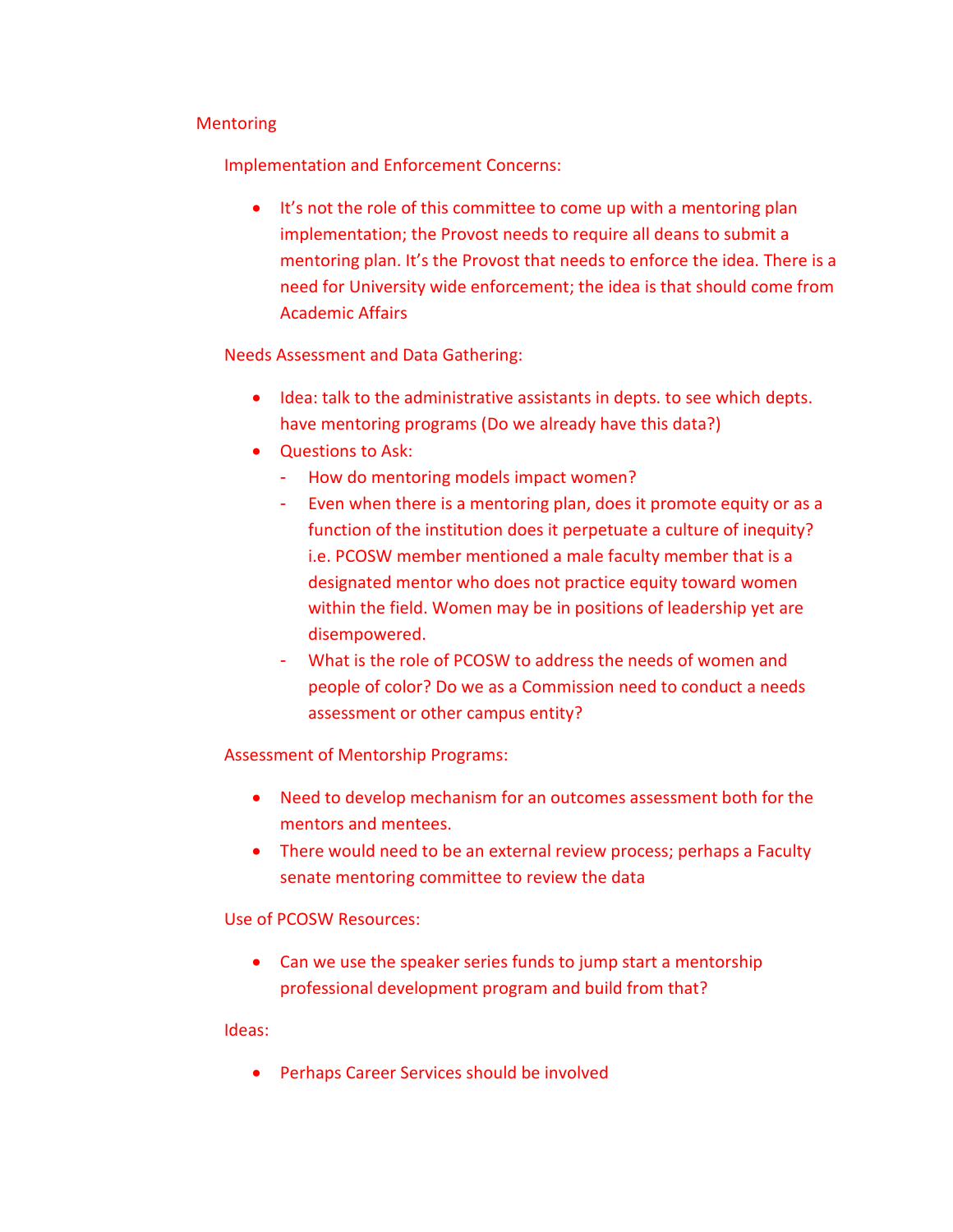### Mentoring

Implementation and Enforcement Concerns:

• It's not the role of this committee to come up with a mentoring plan implementation; the Provost needs to require all deans to submit a mentoring plan. It's the Provost that needs to enforce the idea. There is a need for University wide enforcement; the idea is that should come from Academic Affairs

Needs Assessment and Data Gathering:

- Idea: talk to the administrative assistants in depts. to see which depts. have mentoring programs (Do we already have this data?)
- Questions to Ask:
	- How do mentoring models impact women?
	- Even when there is a mentoring plan, does it promote equity or as a function of the institution does it perpetuate a culture of inequity? i.e. PCOSW member mentioned a male faculty member that is a designated mentor who does not practice equity toward women within the field. Women may be in positions of leadership yet are disempowered.
	- What is the role of PCOSW to address the needs of women and people of color? Do we as a Commission need to conduct a needs assessment or other campus entity?

Assessment of Mentorship Programs:

- Need to develop mechanism for an outcomes assessment both for the mentors and mentees.
- There would need to be an external review process; perhaps a Faculty senate mentoring committee to review the data

## Use of PCOSW Resources:

 Can we use the speaker series funds to jump start a mentorship professional development program and build from that?

### Ideas:

Perhaps Career Services should be involved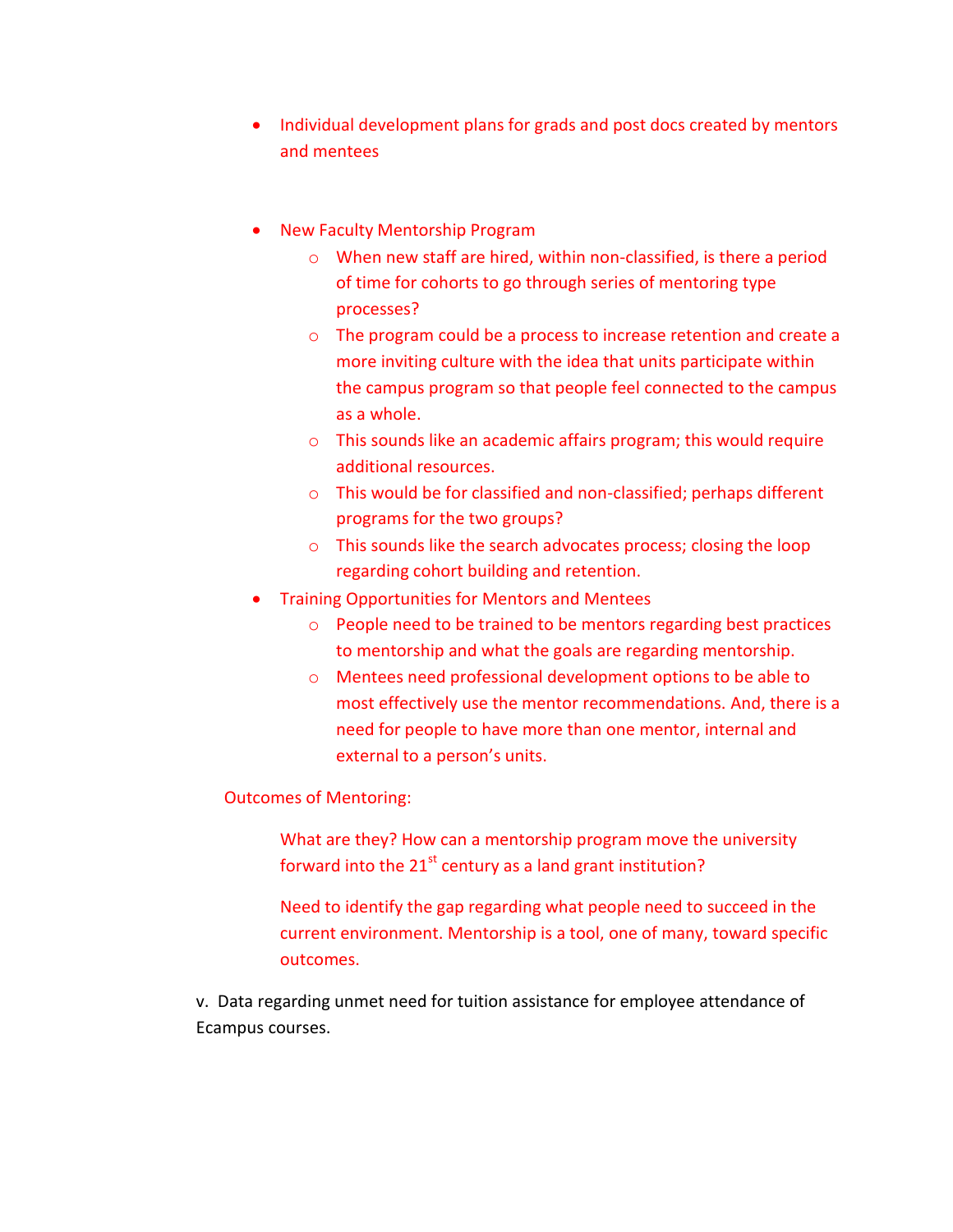- Individual development plans for grads and post docs created by mentors and mentees
- New Faculty Mentorship Program
	- o When new staff are hired, within non-classified, is there a period of time for cohorts to go through series of mentoring type processes?
	- o The program could be a process to increase retention and create a more inviting culture with the idea that units participate within the campus program so that people feel connected to the campus as a whole.
	- o This sounds like an academic affairs program; this would require additional resources.
	- o This would be for classified and non-classified; perhaps different programs for the two groups?
	- o This sounds like the search advocates process; closing the loop regarding cohort building and retention.
- Training Opportunities for Mentors and Mentees
	- o People need to be trained to be mentors regarding best practices to mentorship and what the goals are regarding mentorship.
	- o Mentees need professional development options to be able to most effectively use the mentor recommendations. And, there is a need for people to have more than one mentor, internal and external to a person's units.

### Outcomes of Mentoring:

What are they? How can a mentorship program move the university forward into the  $21<sup>st</sup>$  century as a land grant institution?

Need to identify the gap regarding what people need to succeed in the current environment. Mentorship is a tool, one of many, toward specific outcomes.

v. Data regarding unmet need for tuition assistance for employee attendance of Ecampus courses.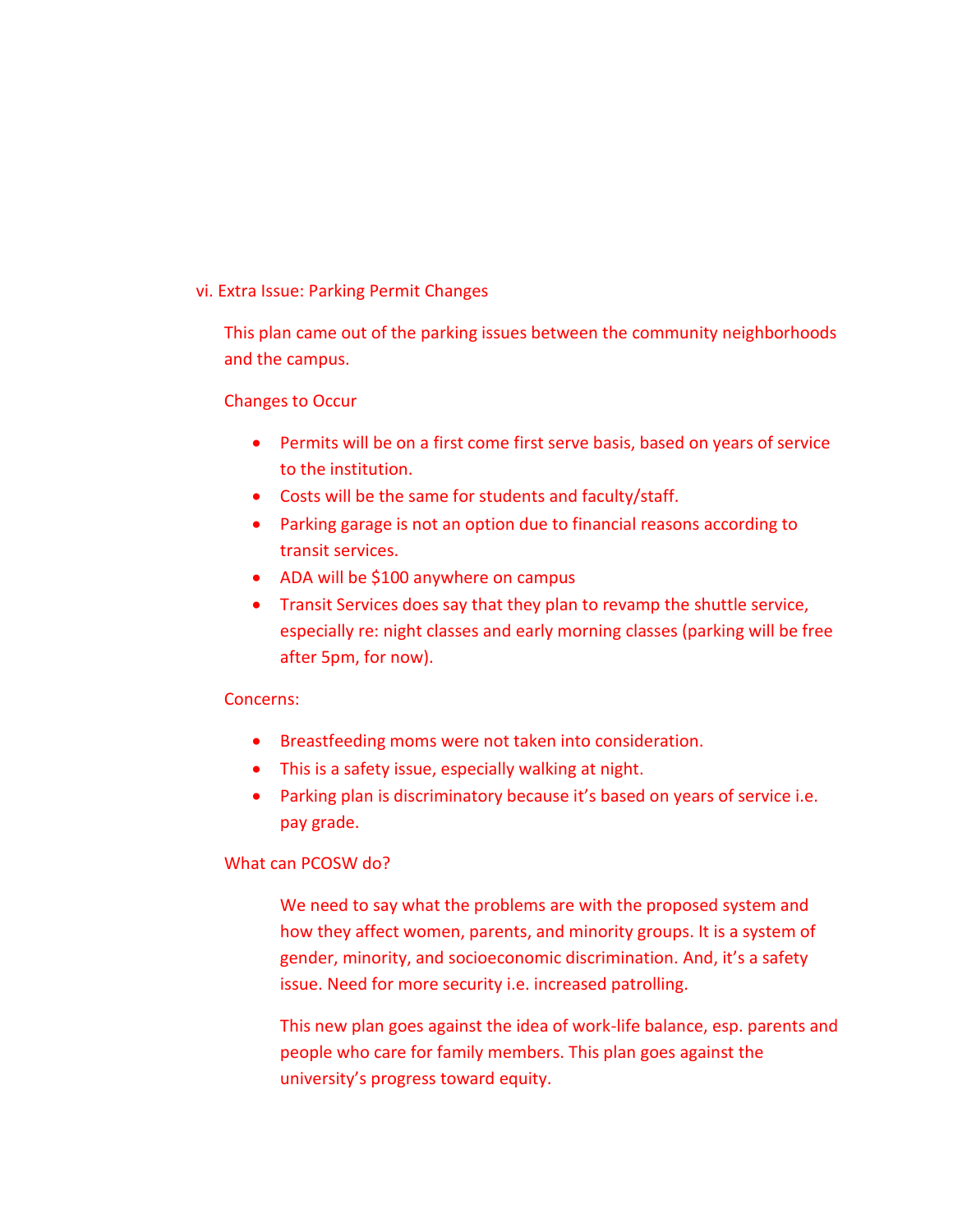### vi. Extra Issue: Parking Permit Changes

This plan came out of the parking issues between the community neighborhoods and the campus.

### Changes to Occur

- Permits will be on a first come first serve basis, based on years of service to the institution.
- Costs will be the same for students and faculty/staff.
- Parking garage is not an option due to financial reasons according to transit services.
- ADA will be \$100 anywhere on campus
- Transit Services does say that they plan to revamp the shuttle service, especially re: night classes and early morning classes (parking will be free after 5pm, for now).

### Concerns:

- Breastfeeding moms were not taken into consideration.
- This is a safety issue, especially walking at night.
- Parking plan is discriminatory because it's based on years of service i.e. pay grade.

### What can PCOSW do?

We need to say what the problems are with the proposed system and how they affect women, parents, and minority groups. It is a system of gender, minority, and socioeconomic discrimination. And, it's a safety issue. Need for more security i.e. increased patrolling.

This new plan goes against the idea of work-life balance, esp. parents and people who care for family members. This plan goes against the university's progress toward equity.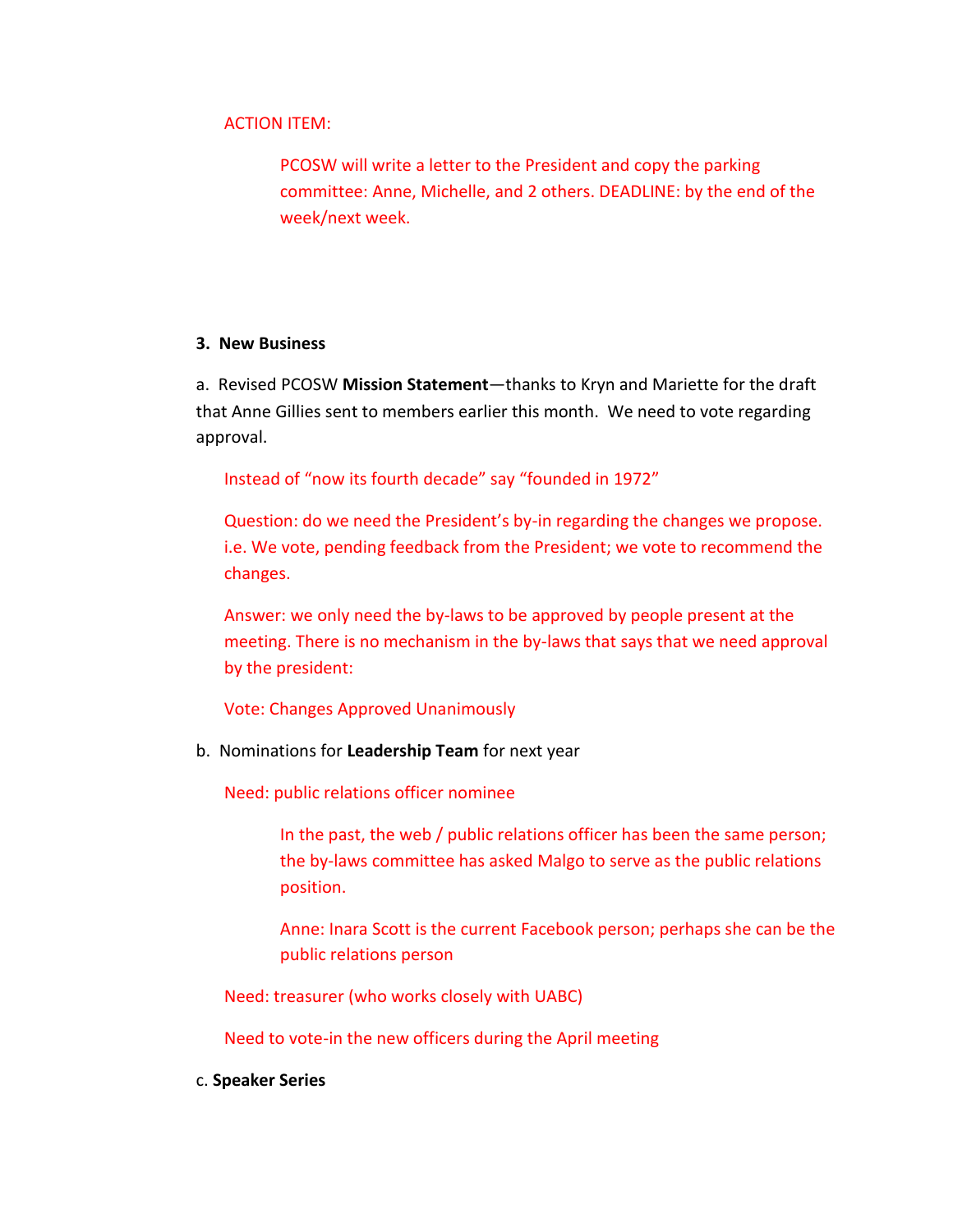### ACTION ITEM:

PCOSW will write a letter to the President and copy the parking committee: Anne, Michelle, and 2 others. DEADLINE: by the end of the week/next week.

### **3. New Business**

a. Revised PCOSW **Mission Statement**—thanks to Kryn and Mariette for the draft that Anne Gillies sent to members earlier this month. We need to vote regarding approval.

Instead of "now its fourth decade" say "founded in 1972"

Question: do we need the President's by-in regarding the changes we propose. i.e. We vote, pending feedback from the President; we vote to recommend the changes.

Answer: we only need the by-laws to be approved by people present at the meeting. There is no mechanism in the by-laws that says that we need approval by the president:

Vote: Changes Approved Unanimously

b. Nominations for **Leadership Team** for next year

Need: public relations officer nominee

In the past, the web / public relations officer has been the same person; the by-laws committee has asked Malgo to serve as the public relations position.

Anne: Inara Scott is the current Facebook person; perhaps she can be the public relations person

Need: treasurer (who works closely with UABC)

Need to vote-in the new officers during the April meeting

c. **Speaker Series**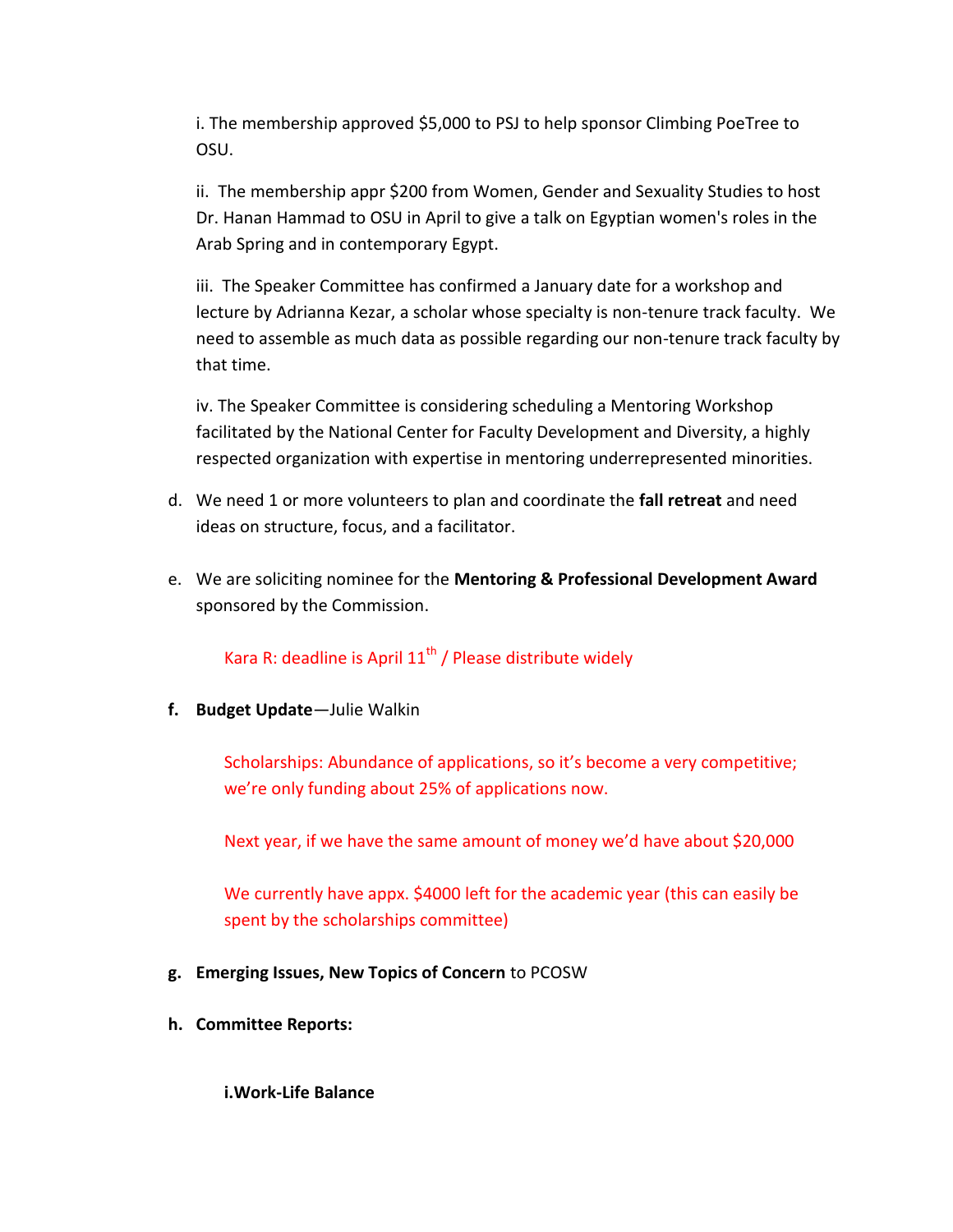i. The membership approved \$5,000 to PSJ to help sponsor Climbing PoeTree to OSU.

ii. The membership appr \$200 from Women, Gender and Sexuality Studies to host Dr. Hanan Hammad to OSU in April to give a talk on Egyptian women's roles in the Arab Spring and in contemporary Egypt.

iii. The Speaker Committee has confirmed a January date for a workshop and lecture by Adrianna Kezar, a scholar whose specialty is non-tenure track faculty. We need to assemble as much data as possible regarding our non-tenure track faculty by that time.

iv. The Speaker Committee is considering scheduling a Mentoring Workshop facilitated by the National Center for Faculty Development and Diversity, a highly respected organization with expertise in mentoring underrepresented minorities.

- d. We need 1 or more volunteers to plan and coordinate the **fall retreat** and need ideas on structure, focus, and a facilitator.
- e. We are soliciting nominee for the **Mentoring & Professional Development Award** sponsored by the Commission.

Kara R: deadline is April  $11<sup>th</sup>$  / Please distribute widely

**f. Budget Update**—Julie Walkin

Scholarships: Abundance of applications, so it's become a very competitive; we're only funding about 25% of applications now.

Next year, if we have the same amount of money we'd have about \$20,000

We currently have appx. \$4000 left for the academic year (this can easily be spent by the scholarships committee)

- **g. Emerging Issues, New Topics of Concern** to PCOSW
- **h. Committee Reports:**

**i.Work-Life Balance**